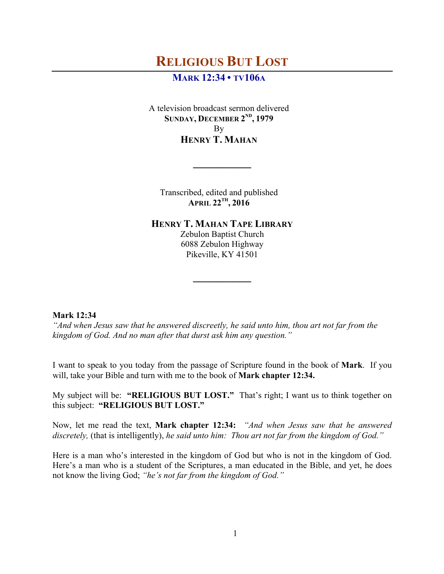# **MARK 12:34 • TV106A**

A television broadcast sermon delivered **SUNDAY, DECEMBER 2ND, 1979** By **HENRY T. MAHAN**

Transcribed, edited and published **APRIL 22TH, 2016**

**\_\_\_\_\_\_\_\_\_\_**

**HENRY T. MAHAN TAPE LIBRARY**

Zebulon Baptist Church 6088 Zebulon Highway Pikeville, KY 41501

**\_\_\_\_\_\_\_\_\_\_**

# **Mark 12:34**

*"And when Jesus saw that he answered discreetly, he said unto him, thou art not far from the kingdom of God. And no man after that durst ask him any question."*

I want to speak to you today from the passage of Scripture found in the book of **Mark**. If you will, take your Bible and turn with me to the book of **Mark chapter 12:34.** 

My subject will be: **"RELIGIOUS BUT LOST."** That's right; I want us to think together on this subject: **"RELIGIOUS BUT LOST."**

Now, let me read the text, **Mark chapter 12:34:** *"And when Jesus saw that he answered discretely,* (that is intelligently), *he said unto him: Thou art not far from the kingdom of God."*

Here is a man who's interested in the kingdom of God but who is not in the kingdom of God. Here's a man who is a student of the Scriptures, a man educated in the Bible, and yet, he does not know the living God; *"he's not far from the kingdom of God."*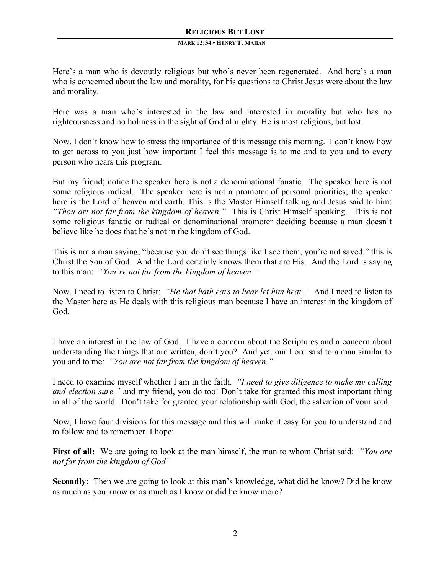#### **MARK 12:34 • HENRY T. MAHAN**

Here's a man who is devoutly religious but who's never been regenerated. And here's a man who is concerned about the law and morality, for his questions to Christ Jesus were about the law and morality.

Here was a man who's interested in the law and interested in morality but who has no righteousness and no holiness in the sight of God almighty. He is most religious, but lost.

Now, I don't know how to stress the importance of this message this morning. I don't know how to get across to you just how important I feel this message is to me and to you and to every person who hears this program.

But my friend; notice the speaker here is not a denominational fanatic. The speaker here is not some religious radical. The speaker here is not a promoter of personal priorities; the speaker here is the Lord of heaven and earth. This is the Master Himself talking and Jesus said to him: *"Thou art not far from the kingdom of heaven."* This is Christ Himself speaking. This is not some religious fanatic or radical or denominational promoter deciding because a man doesn't believe like he does that he's not in the kingdom of God.

This is not a man saying, "because you don't see things like I see them, you're not saved;" this is Christ the Son of God. And the Lord certainly knows them that are His. And the Lord is saying to this man: *"You're not far from the kingdom of heaven."*

Now, I need to listen to Christ: *"He that hath ears to hear let him hear."* And I need to listen to the Master here as He deals with this religious man because I have an interest in the kingdom of God.

I have an interest in the law of God. I have a concern about the Scriptures and a concern about understanding the things that are written, don't you? And yet, our Lord said to a man similar to you and to me: *"You are not far from the kingdom of heaven."*

I need to examine myself whether I am in the faith. *"I need to give diligence to make my calling and election sure,"* and my friend, you do too! Don't take for granted this most important thing in all of the world. Don't take for granted your relationship with God, the salvation of your soul.

Now, I have four divisions for this message and this will make it easy for you to understand and to follow and to remember, I hope:

**First of all:** We are going to look at the man himself, the man to whom Christ said: *"You are not far from the kingdom of God"*

**Secondly:** Then we are going to look at this man's knowledge, what did he know? Did he know as much as you know or as much as I know or did he know more?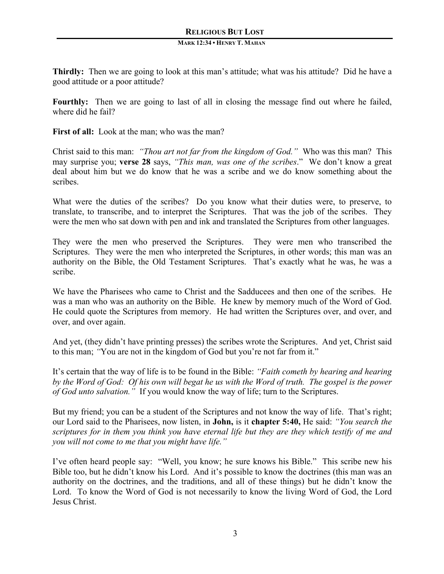**Thirdly:** Then we are going to look at this man's attitude; what was his attitude? Did he have a good attitude or a poor attitude?

**Fourthly:** Then we are going to last of all in closing the message find out where he failed, where did he fail?

**First of all:** Look at the man; who was the man?

Christ said to this man: *"Thou art not far from the kingdom of God."* Who was this man? This may surprise you; **verse 28** says, *"This man, was one of the scribes*." We don't know a great deal about him but we do know that he was a scribe and we do know something about the scribes.

What were the duties of the scribes? Do you know what their duties were, to preserve, to translate, to transcribe, and to interpret the Scriptures. That was the job of the scribes. They were the men who sat down with pen and ink and translated the Scriptures from other languages.

They were the men who preserved the Scriptures. They were men who transcribed the Scriptures. They were the men who interpreted the Scriptures, in other words; this man was an authority on the Bible, the Old Testament Scriptures. That's exactly what he was, he was a scribe.

We have the Pharisees who came to Christ and the Sadducees and then one of the scribes. He was a man who was an authority on the Bible. He knew by memory much of the Word of God. He could quote the Scriptures from memory. He had written the Scriptures over, and over, and over, and over again.

And yet, (they didn't have printing presses) the scribes wrote the Scriptures. And yet, Christ said to this man; *"*You are not in the kingdom of God but you're not far from it."

It's certain that the way of life is to be found in the Bible: *"Faith cometh by hearing and hearing by the Word of God: Of his own will begat he us with the Word of truth. The gospel is the power of God unto salvation."* If you would know the way of life; turn to the Scriptures.

But my friend; you can be a student of the Scriptures and not know the way of life. That's right; our Lord said to the Pharisees, now listen, in **John,** is it **chapter 5:40,** He said: *"You search the scriptures for in them you think you have eternal life but they are they which testify of me and you will not come to me that you might have life."*

I've often heard people say: "Well, you know; he sure knows his Bible." This scribe new his Bible too, but he didn't know his Lord. And it's possible to know the doctrines (this man was an authority on the doctrines, and the traditions, and all of these things) but he didn't know the Lord. To know the Word of God is not necessarily to know the living Word of God, the Lord Jesus Christ.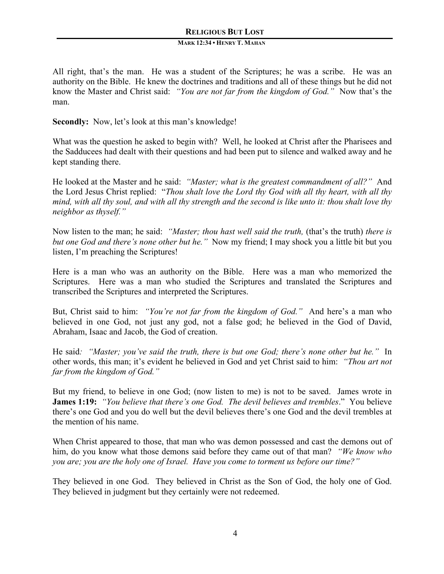#### **MARK 12:34 • HENRY T. MAHAN**

All right, that's the man. He was a student of the Scriptures; he was a scribe. He was an authority on the Bible. He knew the doctrines and traditions and all of these things but he did not know the Master and Christ said: *"You are not far from the kingdom of God."* Now that's the man.

**Secondly:** Now, let's look at this man's knowledge!

What was the question he asked to begin with? Well, he looked at Christ after the Pharisees and the Sadducees had dealt with their questions and had been put to silence and walked away and he kept standing there.

He looked at the Master and he said: *"Master; what is the greatest commandment of all?"* And the Lord Jesus Christ replied: "*Thou shalt love the Lord thy God with all thy heart, with all thy mind, with all thy soul, and with all thy strength and the second is like unto it: thou shalt love thy neighbor as thyself."*

Now listen to the man; he said: *"Master; thou hast well said the truth,* (that's the truth) *there is but one God and there's none other but he."* Now my friend; I may shock you a little bit but you listen, I'm preaching the Scriptures!

Here is a man who was an authority on the Bible. Here was a man who memorized the Scriptures. Here was a man who studied the Scriptures and translated the Scriptures and transcribed the Scriptures and interpreted the Scriptures.

But, Christ said to him: *"You're not far from the kingdom of God."* And here's a man who believed in one God, not just any god, not a false god; he believed in the God of David, Abraham, Isaac and Jacob, the God of creation.

He said*: "Master; you've said the truth, there is but one God; there's none other but he."* In other words, this man; it's evident he believed in God and yet Christ said to him: *"Thou art not far from the kingdom of God."*

But my friend, to believe in one God; (now listen to me) is not to be saved. James wrote in **James 1:19:** *"You believe that there's one God. The devil believes and trembles*." You believe there's one God and you do well but the devil believes there's one God and the devil trembles at the mention of his name.

When Christ appeared to those, that man who was demon possessed and cast the demons out of him, do you know what those demons said before they came out of that man? *"We know who you are; you are the holy one of Israel. Have you come to torment us before our time?"*

They believed in one God. They believed in Christ as the Son of God, the holy one of God. They believed in judgment but they certainly were not redeemed.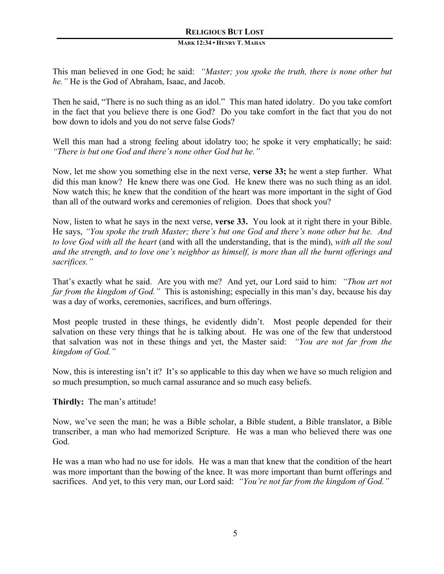#### **MARK 12:34 • HENRY T. MAHAN**

This man believed in one God; he said: *"Master; you spoke the truth, there is none other but he."* He is the God of Abraham, Isaac, and Jacob.

Then he said, "There is no such thing as an idol." This man hated idolatry. Do you take comfort in the fact that you believe there is one God? Do you take comfort in the fact that you do not bow down to idols and you do not serve false Gods?

Well this man had a strong feeling about idolatry too; he spoke it very emphatically; he said: *"There is but one God and there's none other God but he."*

Now, let me show you something else in the next verse, **verse 33;** he went a step further. What did this man know? He knew there was one God. He knew there was no such thing as an idol. Now watch this; he knew that the condition of the heart was more important in the sight of God than all of the outward works and ceremonies of religion. Does that shock you?

Now, listen to what he says in the next verse, **verse 33.** You look at it right there in your Bible. He says, *"You spoke the truth Master; there's but one God and there's none other but he. And to love God with all the heart* (and with all the understanding, that is the mind), *with all the soul and the strength, and to love one's neighbor as himself, is more than all the burnt offerings and sacrifices."* 

That's exactly what he said. Are you with me? And yet, our Lord said to him: *"Thou art not far from the kingdom of God."* This is astonishing; especially in this man's day, because his day was a day of works, ceremonies, sacrifices, and burn offerings.

Most people trusted in these things, he evidently didn't. Most people depended for their salvation on these very things that he is talking about. He was one of the few that understood that salvation was not in these things and yet, the Master said: *"You are not far from the kingdom of God."*

Now, this is interesting isn't it? It's so applicable to this day when we have so much religion and so much presumption, so much carnal assurance and so much easy beliefs.

# **Thirdly:** The man's attitude!

Now, we've seen the man; he was a Bible scholar, a Bible student, a Bible translator, a Bible transcriber, a man who had memorized Scripture. He was a man who believed there was one God.

He was a man who had no use for idols. He was a man that knew that the condition of the heart was more important than the bowing of the knee. It was more important than burnt offerings and sacrifices. And yet, to this very man, our Lord said: *"You're not far from the kingdom of God."*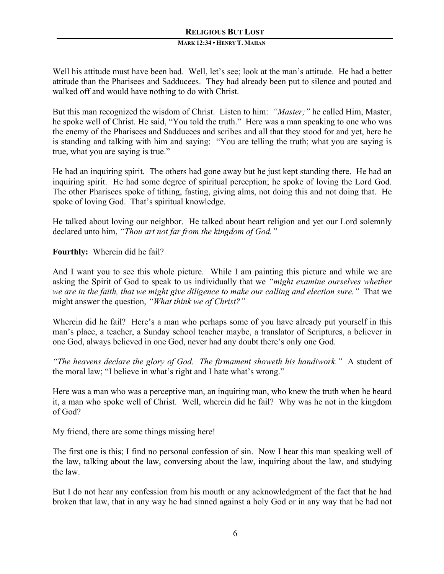Well his attitude must have been bad. Well, let's see; look at the man's attitude. He had a better attitude than the Pharisees and Sadducees. They had already been put to silence and pouted and walked off and would have nothing to do with Christ.

But this man recognized the wisdom of Christ. Listen to him: *"Master;"* he called Him, Master, he spoke well of Christ. He said, "You told the truth."Here was a man speaking to one who was the enemy of the Pharisees and Sadducees and scribes and all that they stood for and yet, here he is standing and talking with him and saying: "You are telling the truth; what you are saying is true, what you are saying is true."

He had an inquiring spirit. The others had gone away but he just kept standing there. He had an inquiring spirit. He had some degree of spiritual perception; he spoke of loving the Lord God. The other Pharisees spoke of tithing, fasting, giving alms, not doing this and not doing that. He spoke of loving God. That's spiritual knowledge.

He talked about loving our neighbor. He talked about heart religion and yet our Lord solemnly declared unto him, *"Thou art not far from the kingdom of God."*

**Fourthly:** Wherein did he fail?

And I want you to see this whole picture. While I am painting this picture and while we are asking the Spirit of God to speak to us individually that we *"might examine ourselves whether we are in the faith, that we might give diligence to make our calling and election sure."* That we might answer the question, *"What think we of Christ?"*

Wherein did he fail? Here's a man who perhaps some of you have already put yourself in this man's place, a teacher, a Sunday school teacher maybe, a translator of Scriptures, a believer in one God, always believed in one God, never had any doubt there's only one God.

*"The heavens declare the glory of God. The firmament showeth his handiwork."* A student of the moral law; "I believe in what's right and I hate what's wrong."

Here was a man who was a perceptive man, an inquiring man, who knew the truth when he heard it, a man who spoke well of Christ. Well, wherein did he fail? Why was he not in the kingdom of God?

My friend, there are some things missing here!

The first one is this; I find no personal confession of sin. Now I hear this man speaking well of the law, talking about the law, conversing about the law, inquiring about the law, and studying the law.

But I do not hear any confession from his mouth or any acknowledgment of the fact that he had broken that law, that in any way he had sinned against a holy God or in any way that he had not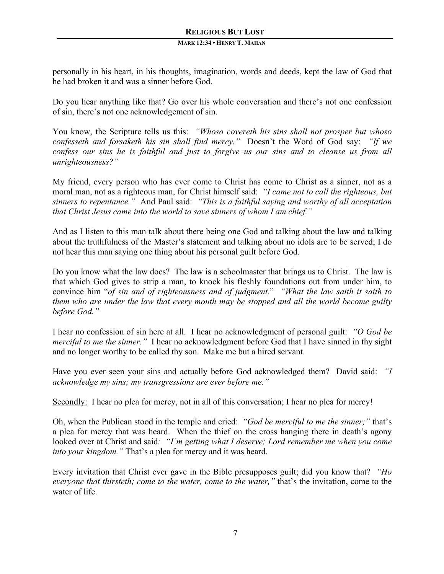personally in his heart, in his thoughts, imagination, words and deeds, kept the law of God that he had broken it and was a sinner before God.

Do you hear anything like that? Go over his whole conversation and there's not one confession of sin, there's not one acknowledgement of sin.

You know, the Scripture tells us this: *"Whoso covereth his sins shall not prosper but whoso confesseth and forsaketh his sin shall find mercy."* Doesn't the Word of God say: *"If we confess our sins he is faithful and just to forgive us our sins and to cleanse us from all unrighteousness?"* 

My friend, every person who has ever come to Christ has come to Christ as a sinner, not as a moral man, not as a righteous man, for Christ himself said: *"I came not to call the righteous, but sinners to repentance."* And Paul said: *"This is a faithful saying and worthy of all acceptation that Christ Jesus came into the world to save sinners of whom I am chief."* 

And as I listen to this man talk about there being one God and talking about the law and talking about the truthfulness of the Master's statement and talking about no idols are to be served; I do not hear this man saying one thing about his personal guilt before God.

Do you know what the law does? The law is a schoolmaster that brings us to Christ. The law is that which God gives to strip a man, to knock his fleshly foundations out from under him, to convince him "*of sin and of righteousness and of judgment*." *"What the law saith it saith to them who are under the law that every mouth may be stopped and all the world become guilty before God."* 

I hear no confession of sin here at all. I hear no acknowledgment of personal guilt: *"O God be merciful to me the sinner.*" I hear no acknowledgment before God that I have sinned in thy sight and no longer worthy to be called thy son. Make me but a hired servant.

Have you ever seen your sins and actually before God acknowledged them? David said: *"I acknowledge my sins; my transgressions are ever before me."*

Secondly: I hear no plea for mercy, not in all of this conversation; I hear no plea for mercy!

Oh, when the Publican stood in the temple and cried: *"God be merciful to me the sinner;"* that's a plea for mercy that was heard. When the thief on the cross hanging there in death's agony looked over at Christ and said*: "I'm getting what I deserve; Lord remember me when you come into your kingdom."* That's a plea for mercy and it was heard.

Every invitation that Christ ever gave in the Bible presupposes guilt; did you know that? *"Ho everyone that thirsteth; come to the water, come to the water,"* that's the invitation, come to the water of life.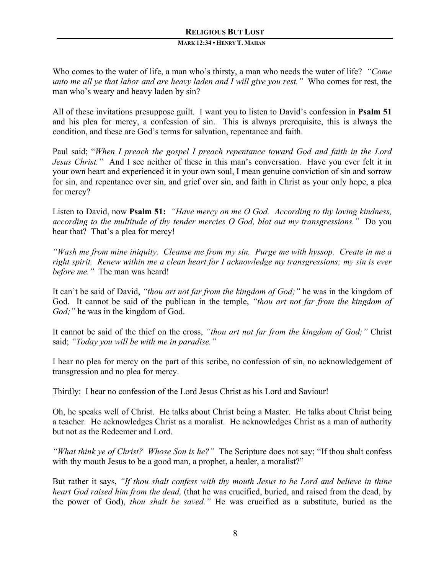#### **MARK 12:34 • HENRY T. MAHAN**

Who comes to the water of life, a man who's thirsty, a man who needs the water of life? *"Come unto me all ye that labor and are heavy laden and I will give you rest."* Who comes for rest, the man who's weary and heavy laden by sin?

All of these invitations presuppose guilt. I want you to listen to David's confession in **Psalm 51** and his plea for mercy, a confession of sin. This is always prerequisite, this is always the condition, and these are God's terms for salvation, repentance and faith.

Paul said; "*When I preach the gospel I preach repentance toward God and faith in the Lord Jesus Christ."* And I see neither of these in this man's conversation. Have you ever felt it in your own heart and experienced it in your own soul, I mean genuine conviction of sin and sorrow for sin, and repentance over sin, and grief over sin, and faith in Christ as your only hope, a plea for mercy?

Listen to David, now **Psalm 51:** *"Have mercy on me O God. According to thy loving kindness, according to the multitude of thy tender mercies O God, blot out my transgressions."* Do you hear that? That's a plea for mercy!

*"Wash me from mine iniquity. Cleanse me from my sin. Purge me with hyssop. Create in me a right spirit. Renew within me a clean heart for I acknowledge my transgressions; my sin is ever before me."* The man was heard!

It can't be said of David, *"thou art not far from the kingdom of God;"* he was in the kingdom of God. It cannot be said of the publican in the temple, *"thou art not far from the kingdom of God;*" he was in the kingdom of God.

It cannot be said of the thief on the cross, *"thou art not far from the kingdom of God;"* Christ said; *"Today you will be with me in paradise."*

I hear no plea for mercy on the part of this scribe, no confession of sin, no acknowledgement of transgression and no plea for mercy.

Thirdly: I hear no confession of the Lord Jesus Christ as his Lord and Saviour!

Oh, he speaks well of Christ. He talks about Christ being a Master. He talks about Christ being a teacher. He acknowledges Christ as a moralist. He acknowledges Christ as a man of authority but not as the Redeemer and Lord.

*"What think ye of Christ? Whose Son is he?"* The Scripture does not say; "If thou shalt confess with thy mouth Jesus to be a good man, a prophet, a healer, a moralist?"

But rather it says, *"If thou shalt confess with thy mouth Jesus to be Lord and believe in thine heart God raised him from the dead,* (that he was crucified, buried, and raised from the dead, by the power of God), *thou shalt be saved."* He was crucified as a substitute, buried as the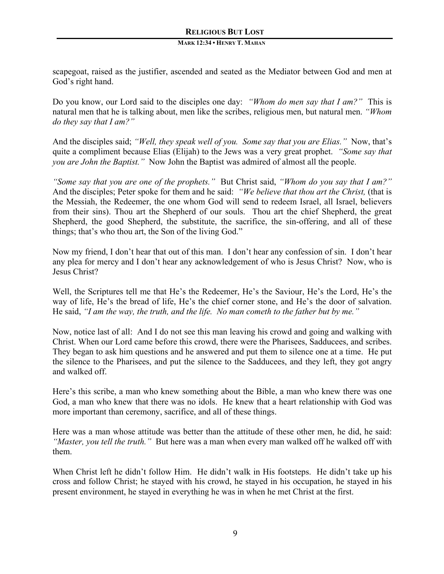scapegoat, raised as the justifier, ascended and seated as the Mediator between God and men at God's right hand.

Do you know, our Lord said to the disciples one day: *"Whom do men say that I am?"* This is natural men that he is talking about, men like the scribes, religious men, but natural men. *"Whom do they say that I am?"*

And the disciples said; *"Well, they speak well of you. Some say that you are Elias."* Now, that's quite a compliment because Elias (Elijah) to the Jews was a very great prophet. *"Some say that you are John the Baptist."* Now John the Baptist was admired of almost all the people.

*"Some say that you are one of the prophets."* But Christ said, *"Whom do you say that I am?"*  And the disciples; Peter spoke for them and he said: *"We believe that thou art the Christ,* (that is the Messiah, the Redeemer, the one whom God will send to redeem Israel, all Israel, believers from their sins). Thou art the Shepherd of our souls. Thou art the chief Shepherd, the great Shepherd, the good Shepherd, the substitute, the sacrifice, the sin-offering, and all of these things; that's who thou art, the Son of the living God."

Now my friend, I don't hear that out of this man. I don't hear any confession of sin. I don't hear any plea for mercy and I don't hear any acknowledgement of who is Jesus Christ? Now, who is Jesus Christ?

Well, the Scriptures tell me that He's the Redeemer, He's the Saviour, He's the Lord, He's the way of life, He's the bread of life, He's the chief corner stone, and He's the door of salvation. He said, *"I am the way, the truth, and the life. No man cometh to the father but by me."*

Now, notice last of all: And I do not see this man leaving his crowd and going and walking with Christ. When our Lord came before this crowd, there were the Pharisees, Sadducees, and scribes. They began to ask him questions and he answered and put them to silence one at a time. He put the silence to the Pharisees, and put the silence to the Sadducees, and they left, they got angry and walked off.

Here's this scribe, a man who knew something about the Bible, a man who knew there was one God, a man who knew that there was no idols. He knew that a heart relationship with God was more important than ceremony, sacrifice, and all of these things.

Here was a man whose attitude was better than the attitude of these other men, he did, he said: *"Master, you tell the truth."* But here was a man when every man walked off he walked off with them.

When Christ left he didn't follow Him. He didn't walk in His footsteps. He didn't take up his cross and follow Christ; he stayed with his crowd, he stayed in his occupation, he stayed in his present environment, he stayed in everything he was in when he met Christ at the first.